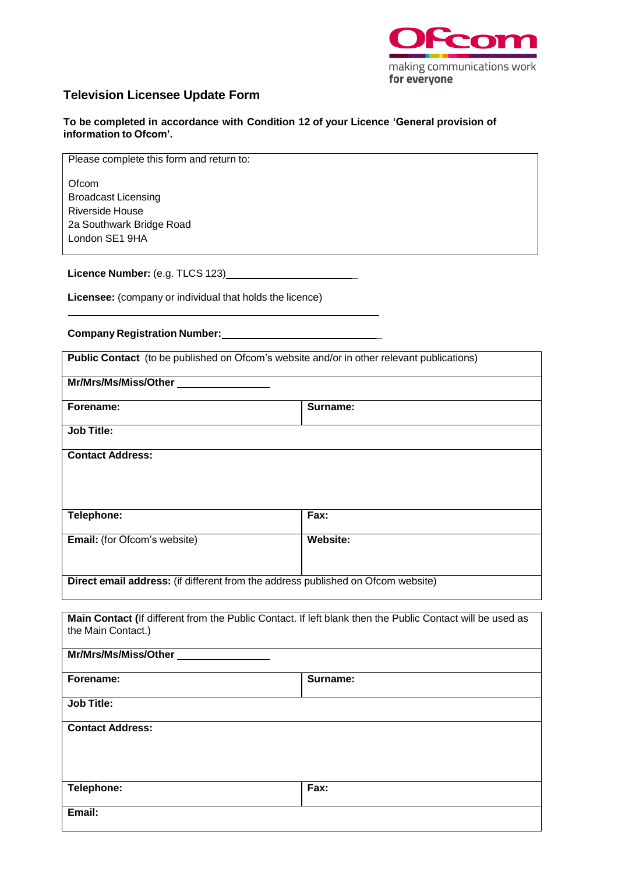

## **Television Licensee Update Form**

**To be completed in accordance with Condition 12 of your Licence 'General provision of information to Ofcom'.**

Please complete this form and return to:

**Ofcom** Broadcast Licensing Riverside House 2a Southwark Bridge Road London SE1 9HA

**Licence Number:** (e.g. TLCS 123)\_\_\_\_\_\_\_\_\_\_\_\_\_\_\_\_\_\_\_\_\_\_\_\_

**Licensee:** (company or individual that holds the licence)

**Company Registration Number:** \_

| <b>Public Contact</b> (to be published on Ofcom's website and/or in other relevant publications) |                 |  |
|--------------------------------------------------------------------------------------------------|-----------------|--|
| Mr/Mrs/Ms/Miss/Other                                                                             |                 |  |
| Forename:                                                                                        | Surname:        |  |
| <b>Job Title:</b>                                                                                |                 |  |
| <b>Contact Address:</b>                                                                          |                 |  |
| Telephone:                                                                                       | Fax:            |  |
| <b>Email:</b> (for Ofcom's website)                                                              | <b>Website:</b> |  |
| Direct email address: (if different from the address published on Ofcom website)                 |                 |  |

| Main Contact (If different from the Public Contact. If left blank then the Public Contact will be used as<br>the Main Contact.) |          |  |
|---------------------------------------------------------------------------------------------------------------------------------|----------|--|
| Mr/Mrs/Ms/Miss/Other                                                                                                            |          |  |
| Forename:                                                                                                                       | Surname: |  |
| <b>Job Title:</b>                                                                                                               |          |  |
| <b>Contact Address:</b>                                                                                                         |          |  |
|                                                                                                                                 |          |  |
| Telephone:                                                                                                                      | Fax:     |  |
| Email:                                                                                                                          |          |  |